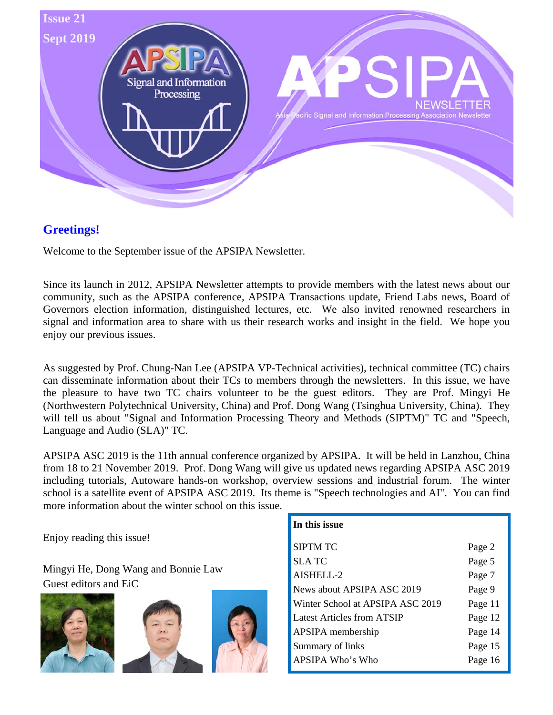

# **Greetings!**

Welcome to the September issue of the APSIPA Newsletter.

Since its launch in 2012, APSIPA Newsletter attempts to provide members with the latest news about our community, such as the APSIPA conference, APSIPA Transactions update, Friend Labs news, Board of Governors election information, distinguished lectures, etc. We also invited renowned researchers in signal and information area to share with us their research works and insight in the field. We hope you enjoy our previous issues.

As suggested by Prof. Chung-Nan Lee (APSIPA VP-Technical activities), technical committee (TC) chairs can disseminate information about their TCs to members through the newsletters. In this issue, we have the pleasure to have two TC chairs volunteer to be the guest editors. They are Prof. Mingyi He (Northwestern Polytechnical University, China) and Prof. Dong Wang (Tsinghua University, China). They will tell us about "Signal and Information Processing Theory and Methods (SIPTM)" TC and "Speech, Language and Audio (SLA)" TC.

APSIPA ASC 2019 is the 11th annual conference organized by APSIPA. It will be held in Lanzhou, China from 18 to 21 November 2019. Prof. Dong Wang will give us updated news regarding APSIPA ASC 2019 including tutorials, Autoware hands-on workshop, overview sessions and industrial forum. The winter school is a satellite event of APSIPA ASC 2019. Its theme is "Speech technologies and AI". You can find more information about the winter school on this issue.

Enjoy reading this issue!

Mingyi He, Dong Wang and Bonnie Law Guest editors and EiC







| In this issue                     |         |
|-----------------------------------|---------|
| SIPTM TC                          | Page 2  |
| SLA TC                            | Page 5  |
| AISHELL-2                         | Page 7  |
| News about APSIPA ASC 2019        | Page 9  |
| Winter School at APSIPA ASC 2019  | Page 11 |
| <b>Latest Articles from ATSIP</b> | Page 12 |
| APSIPA membership                 | Page 14 |
| Summary of links                  | Page 15 |
| APSIPA Who's Who                  | Page 16 |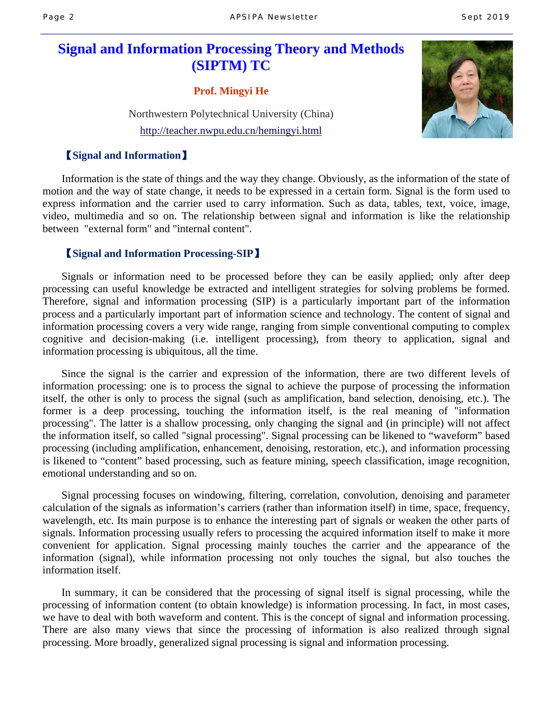# **Signal and Information Processing Theory and Methods (SIPTM) TC**

**Prof. Mingyi He** 

Northwestern Polytechnical University (China) http://teacher.nwpu.edu.cn/hemingyi.html

### 【**Signal and Information**】



Information is the state of things and the way they change. Obviously, as the information of the state of motion and the way of state change, it needs to be expressed in a certain form. Signal is the form used to express information and the carrier used to carry information. Such as data, tables, text, voice, image, video, multimedia and so on. The relationship between signal and information is like the relationship between "external form" and "internal content".

### 【**Signal and Information Processing-SIP**】

Signals or information need to be processed before they can be easily applied; only after deep processing can useful knowledge be extracted and intelligent strategies for solving problems be formed. Therefore, signal and information processing (SIP) is a particularly important part of the information process and a particularly important part of information science and technology. The content of signal and information processing covers a very wide range, ranging from simple conventional computing to complex cognitive and decision-making (i.e. intelligent processing), from theory to application, signal and information processing is ubiquitous, all the time.

Since the signal is the carrier and expression of the information, there are two different levels of information processing: one is to process the signal to achieve the purpose of processing the information itself, the other is only to process the signal (such as amplification, band selection, denoising, etc.). The former is a deep processing, touching the information itself, is the real meaning of "information processing". The latter is a shallow processing, only changing the signal and (in principle) will not affect the information itself, so called "signal processing". Signal processing can be likened to "waveform" based processing (including amplification, enhancement, denoising, restoration, etc.), and information processing is likened to "content" based processing, such as feature mining, speech classification, image recognition, emotional understanding and so on.

Signal processing focuses on windowing, filtering, correlation, convolution, denoising and parameter calculation of the signals as information's carriers (rather than information itself) in time, space, frequency, wavelength, etc. Its main purpose is to enhance the interesting part of signals or weaken the other parts of signals. Information processing usually refers to processing the acquired information itself to make it more convenient for application. Signal processing mainly touches the carrier and the appearance of the information (signal), while information processing not only touches the signal, but also touches the information itself.

In summary, it can be considered that the processing of signal itself is signal processing, while the processing of information content (to obtain knowledge) is information processing. In fact, in most cases, we have to deal with both waveform and content. This is the concept of signal and information processing. There are also many views that since the processing of information is also realized through signal processing. More broadly, generalized signal processing is signal and information processing.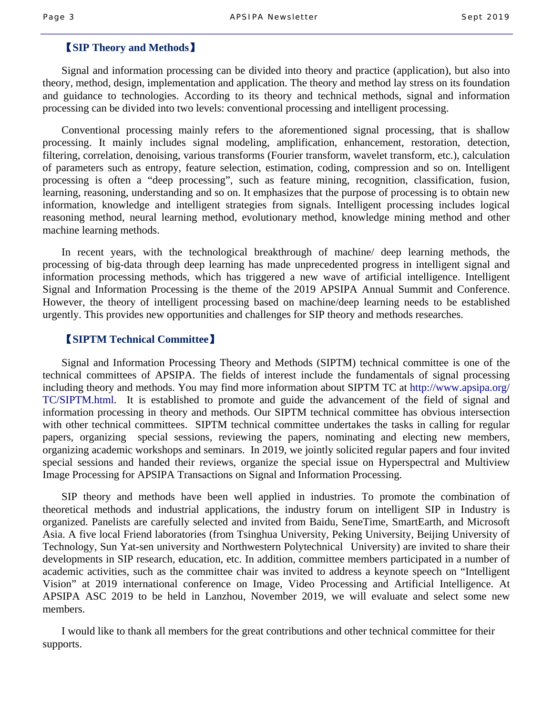#### 【**SIP Theory and Methods**】

Signal and information processing can be divided into theory and practice (application), but also into theory, method, design, implementation and application. The theory and method lay stress on its foundation and guidance to technologies. According to its theory and technical methods, signal and information processing can be divided into two levels: conventional processing and intelligent processing.

Conventional processing mainly refers to the aforementioned signal processing, that is shallow processing. It mainly includes signal modeling, amplification, enhancement, restoration, detection, filtering, correlation, denoising, various transforms (Fourier transform, wavelet transform, etc.), calculation of parameters such as entropy, feature selection, estimation, coding, compression and so on. Intelligent processing is often a "deep processing", such as feature mining, recognition, classification, fusion, learning, reasoning, understanding and so on. It emphasizes that the purpose of processing is to obtain new information, knowledge and intelligent strategies from signals. Intelligent processing includes logical reasoning method, neural learning method, evolutionary method, knowledge mining method and other machine learning methods.

In recent years, with the technological breakthrough of machine/ deep learning methods, the processing of big-data through deep learning has made unprecedented progress in intelligent signal and information processing methods, which has triggered a new wave of artificial intelligence. Intelligent Signal and Information Processing is the theme of the 2019 APSIPA Annual Summit and Conference. However, the theory of intelligent processing based on machine/deep learning needs to be established urgently. This provides new opportunities and challenges for SIP theory and methods researches.

#### 【**SIPTM Technical Committee**】

Signal and Information Processing Theory and Methods (SIPTM) technical committee is one of the technical committees of APSIPA. The fields of interest include the fundamentals of signal processing including theory and methods. You may find more information about SIPTM TC at http://www.apsipa.org/ TC/SIPTM.html. It is established to promote and guide the advancement of the field of signal and information processing in theory and methods. Our SIPTM technical committee has obvious intersection with other technical committees. SIPTM technical committee undertakes the tasks in calling for regular papers, organizing special sessions, reviewing the papers, nominating and electing new members, organizing academic workshops and seminars. In 2019, we jointly solicited regular papers and four invited special sessions and handed their reviews, organize the special issue on Hyperspectral and Multiview Image Processing for APSIPA Transactions on Signal and Information Processing.

SIP theory and methods have been well applied in industries. To promote the combination of theoretical methods and industrial applications, the industry forum on intelligent SIP in Industry is organized. Panelists are carefully selected and invited from Baidu, SeneTime, SmartEarth, and Microsoft Asia. A five local Friend laboratories (from Tsinghua University, Peking University, Beijing University of Technology, Sun Yat-sen university and Northwestern Polytechnical University) are invited to share their developments in SIP research, education, etc. In addition, committee members participated in a number of academic activities, such as the committee chair was invited to address a keynote speech on "Intelligent Vision" at 2019 international conference on Image, Video Processing and Artificial Intelligence. At APSIPA ASC 2019 to be held in Lanzhou, November 2019, we will evaluate and select some new members.

I would like to thank all members for the great contributions and other technical committee for their supports.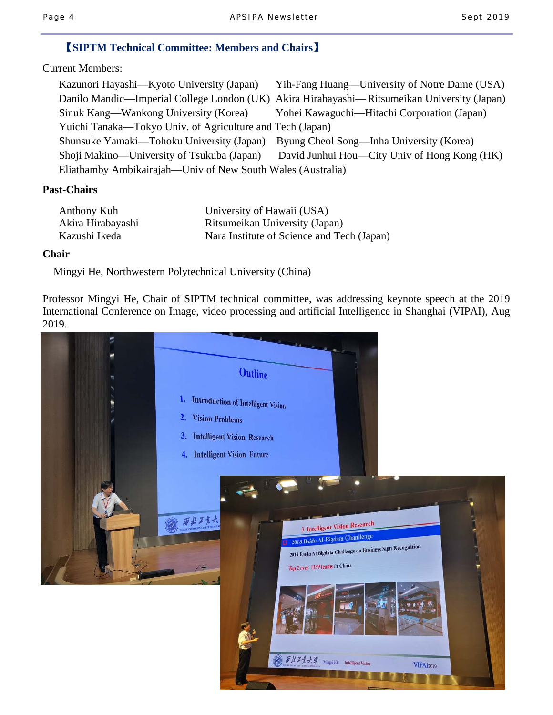### 【**SIPTM Technical Committee: Members and Chairs**】

Current Members:

| Kazunori Hayashi—Kyoto University (Japan)                   | Yih-Fang Huang—University of Notre Dame (USA)                                               |
|-------------------------------------------------------------|---------------------------------------------------------------------------------------------|
|                                                             | Danilo Mandic—Imperial College London (UK) Akira Hirabayashi—Ritsumeikan University (Japan) |
| Sinuk Kang—Wankong University (Korea)                       | Yohei Kawaguchi—Hitachi Corporation (Japan)                                                 |
| Yuichi Tanaka—Tokyo Univ. of Agriculture and Tech (Japan)   |                                                                                             |
| Shunsuke Yamaki—Tohoku University (Japan)                   | Byung Cheol Song—Inha University (Korea)                                                    |
| Shoji Makino—University of Tsukuba (Japan)                  | David Junhui Hou—City Univ of Hong Kong (HK)                                                |
| Eliathamby Ambikairajah—Univ of New South Wales (Australia) |                                                                                             |

#### **Past-Chairs**

| Anthony Kuh       | University of Hawaii (USA)                 |
|-------------------|--------------------------------------------|
| Akira Hirabayashi | Ritsumeikan University (Japan)             |
| Kazushi Ikeda     | Nara Institute of Science and Tech (Japan) |

#### **Chair**

Mingyi He, Northwestern Polytechnical University (China)

Professor Mingyi He, Chair of SIPTM technical committee, was addressing keynote speech at the 2019 International Conference on Image, video processing and artificial Intelligence in Shanghai (VIPAI), Aug 2019.

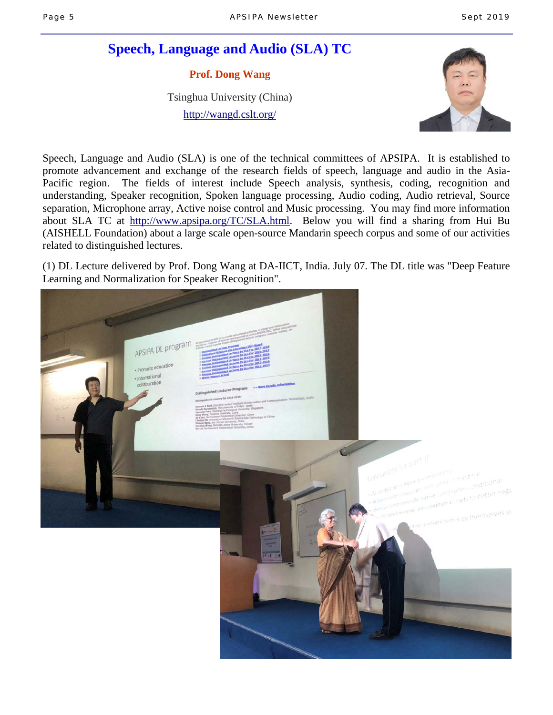# **Speech, Language and Audio (SLA) TC**

**Prof. Dong Wang** 

Tsinghua University (China)

http://wangd.cslt.org/



Speech, Language and Audio (SLA) is one of the technical committees of APSIPA. It is established to promote advancement and exchange of the research fields of speech, language and audio in the Asia-Pacific region. The fields of interest include Speech analysis, synthesis, coding, recognition and understanding, Speaker recognition, Spoken language processing, Audio coding, Audio retrieval, Source separation, Microphone array, Active noise control and Music processing. You may find more information about SLA TC at http://www.apsipa.org/TC/SLA.html. Below you will find a sharing from Hui Bu (AISHELL Foundation) about a large scale open-source Mandarin speech corpus and some of our activities related to distinguished lectures.

(1) DL Lecture delivered by Prof. Dong Wang at DA-IICT, India. July 07. The DL title was "Deep Feature Learning and Normalization for Speaker Recognition".

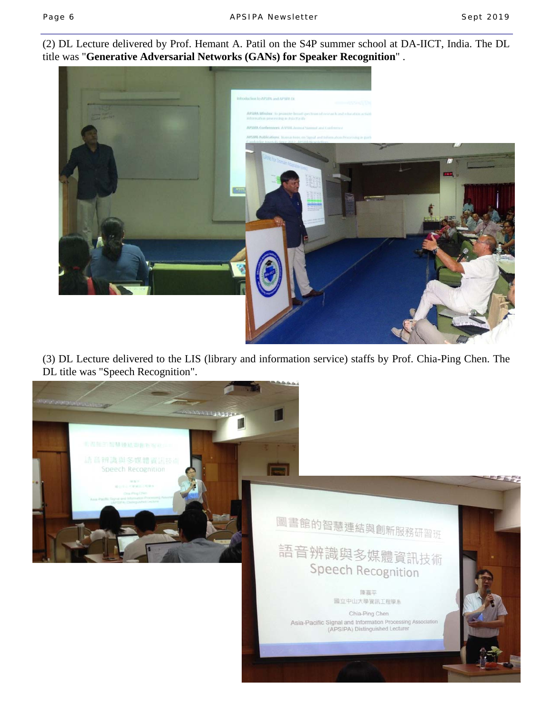(2) DL Lecture delivered by Prof. Hemant A. Patil on the S4P summer school at DA-IICT, India. The DL title was "**Generative Adversarial Networks (GANs) for Speaker Recognition**" .



(3) DL Lecture delivered to the LIS (library and information service) staffs by Prof. Chia-Ping Chen. The DL title was "Speech Recognition".

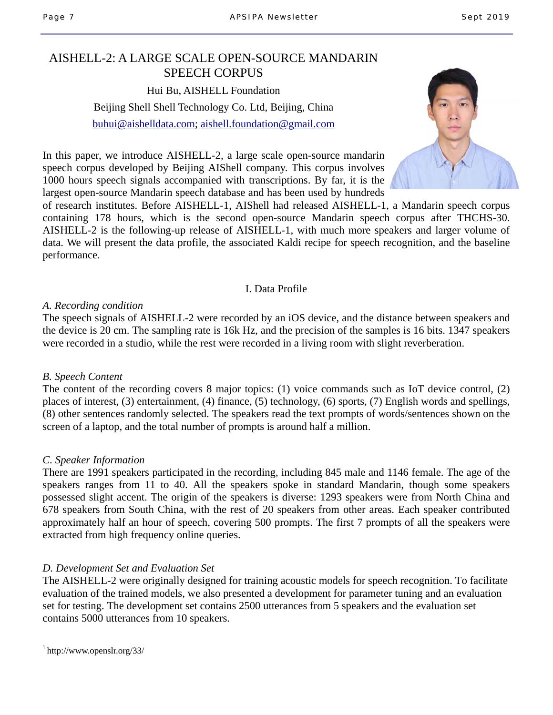### AISHELL-2: A LARGE SCALE OPEN-SOURCE MANDARIN SPEECH CORPUS

Hui Bu, AISHELL Foundation Beijing Shell Shell Technology Co. Ltd, Beijing, China buhui@aishelldata.com; aishell.foundation@gmail.com



In this paper, we introduce AISHELL-2, a large scale open-source mandarin speech corpus developed by Beijing AIShell company. This corpus involves 1000 hours speech signals accompanied with transcriptions. By far, it is the largest open-source Mandarin speech database and has been used by hundreds

of research institutes. Before AISHELL-1, AIShell had released AISHELL-1, a Mandarin speech corpus containing 178 hours, which is the second open-source Mandarin speech corpus after THCHS-30. AISHELL-2 is the following-up release of AISHELL-1, with much more speakers and larger volume of data. We will present the data profile, the associated Kaldi recipe for speech recognition, and the baseline performance.

#### I. Data Profile

#### *A. Recording condition*

The speech signals of AISHELL-2 were recorded by an iOS device, and the distance between speakers and the device is 20 cm. The sampling rate is 16k Hz, and the precision of the samples is 16 bits. 1347 speakers were recorded in a studio, while the rest were recorded in a living room with slight reverberation.

### *B. Speech Content*

The content of the recording covers 8 major topics: (1) voice commands such as IoT device control, (2) places of interest, (3) entertainment, (4) finance, (5) technology, (6) sports, (7) English words and spellings, (8) other sentences randomly selected. The speakers read the text prompts of words/sentences shown on the screen of a laptop, and the total number of prompts is around half a million.

### *C. Speaker Information*

There are 1991 speakers participated in the recording, including 845 male and 1146 female. The age of the speakers ranges from 11 to 40. All the speakers spoke in standard Mandarin, though some speakers possessed slight accent. The origin of the speakers is diverse: 1293 speakers were from North China and 678 speakers from South China, with the rest of 20 speakers from other areas. Each speaker contributed approximately half an hour of speech, covering 500 prompts. The first 7 prompts of all the speakers were extracted from high frequency online queries.

### *D. Development Set and Evaluation Set*

The AISHELL-2 were originally designed for training acoustic models for speech recognition. To facilitate evaluation of the trained models, we also presented a development for parameter tuning and an evaluation set for testing. The development set contains 2500 utterances from 5 speakers and the evaluation set contains 5000 utterances from 10 speakers.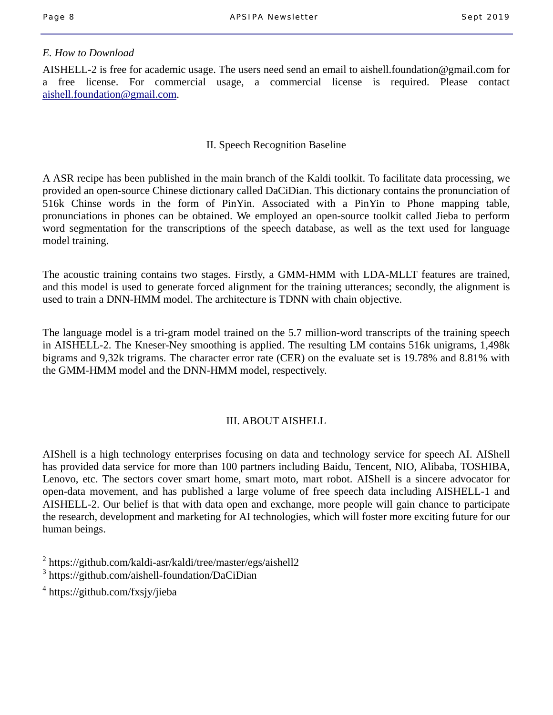### *E. How to Download*

AISHELL-2 is free for academic usage. The users need send an email to aishell.foundation@gmail.com for a free license. For commercial usage, a commercial license is required. Please contact aishell.foundation@gmail.com.

#### II. Speech Recognition Baseline

A ASR recipe has been published in the main branch of the Kaldi toolkit. To facilitate data processing, we provided an open-source Chinese dictionary called DaCiDian. This dictionary contains the pronunciation of 516k Chinse words in the form of PinYin. Associated with a PinYin to Phone mapping table, pronunciations in phones can be obtained. We employed an open-source toolkit called Jieba to perform word segmentation for the transcriptions of the speech database, as well as the text used for language model training.

The acoustic training contains two stages. Firstly, a GMM-HMM with LDA-MLLT features are trained, and this model is used to generate forced alignment for the training utterances; secondly, the alignment is used to train a DNN-HMM model. The architecture is TDNN with chain objective.

The language model is a tri-gram model trained on the 5.7 million-word transcripts of the training speech in AISHELL-2. The Kneser-Ney smoothing is applied. The resulting LM contains 516k unigrams, 1,498k bigrams and 9,32k trigrams. The character error rate (CER) on the evaluate set is 19.78% and 8.81% with the GMM-HMM model and the DNN-HMM model, respectively.

### III. ABOUT AISHELL

AIShell is a high technology enterprises focusing on data and technology service for speech AI. AIShell has provided data service for more than 100 partners including Baidu, Tencent, NIO, Alibaba, TOSHIBA, Lenovo, etc. The sectors cover smart home, smart moto, mart robot. AIShell is a sincere advocator for open-data movement, and has published a large volume of free speech data including AISHELL-1 and AISHELL-2. Our belief is that with data open and exchange, more people will gain chance to participate the research, development and marketing for AI technologies, which will foster more exciting future for our human beings.

<sup>2</sup> https://github.com/kaldi-asr/kaldi/tree/master/egs/aishell2

3 https://github.com/aishell-foundation/DaCiDian

4 https://github.com/fxsjy/jieba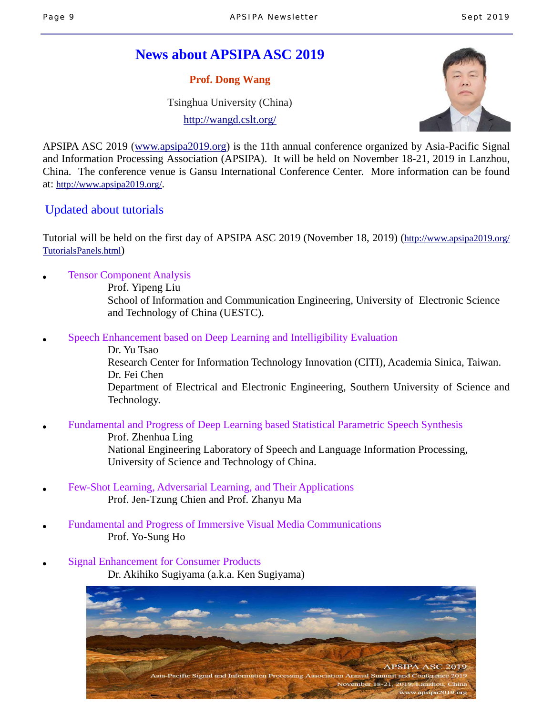# **News about APSIPA ASC 2019**

**Prof. Dong Wang** 

Tsinghua University (China)

http://wangd.cslt.org/



APSIPA ASC 2019 (www.apsipa2019.org) is the 11th annual conference organized by Asia-Pacific Signal and Information Processing Association (APSIPA). It will be held on November 18-21, 2019 in Lanzhou, China. The conference venue is Gansu International Conference Center. More information can be found at: http://www.apsipa2019.org/.

## Updated about tutorials

Tutorial will be held on the first day of APSIPA ASC 2019 (November 18, 2019) (http://www.apsipa2019.org/ TutorialsPanels.html)

**Tensor Component Analysis** 

 Prof. Yipeng Liu School of Information and Communication Engineering, University of Electronic Science and Technology of China (UESTC).

Speech Enhancement based on Deep Learning and Intelligibility Evaluation

 Dr. Yu Tsao Research Center for Information Technology Innovation (CITI), Academia Sinica, Taiwan. Dr. Fei Chen Department of Electrical and Electronic Engineering, Southern University of Science and Technology.

● Fundamental and Progress of Deep Learning based Statistical Parametric Speech Synthesis

 Prof. Zhenhua Ling National Engineering Laboratory of Speech and Language Information Processing, University of Science and Technology of China.

- Few-Shot Learning, Adversarial Learning, and Their Applications Prof. Jen-Tzung Chien and Prof. Zhanyu Ma
- **Fundamental and Progress of Immersive Visual Media Communications** Prof. Yo-Sung Ho
- **Signal Enhancement for Consumer Products** Dr. Akihiko Sugiyama (a.k.a. Ken Sugiyama)

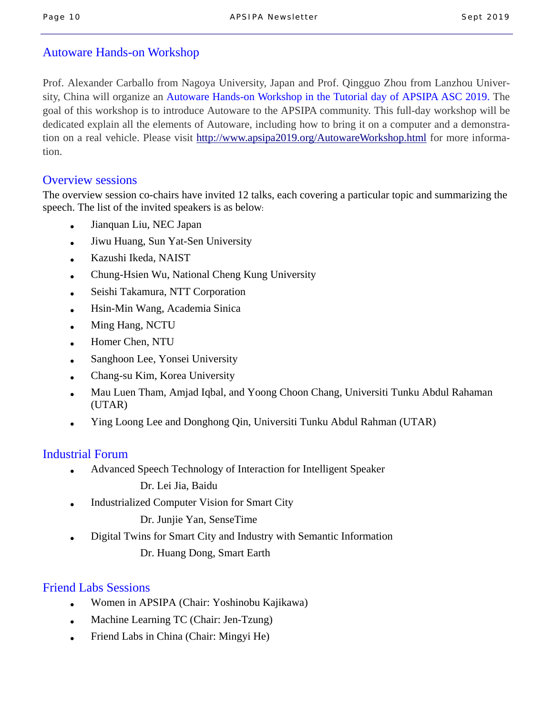### Autoware Hands-on Workshop

Prof. Alexander Carballo from Nagoya University, Japan and Prof. Qingguo Zhou from Lanzhou University, China will organize an Autoware Hands-on Workshop in the Tutorial day of APSIPA ASC 2019. The goal of this workshop is to introduce Autoware to the APSIPA community. This full-day workshop will be dedicated explain all the elements of Autoware, including how to bring it on a computer and a demonstration on a real vehicle. Please visit http://www.apsipa2019.org/AutowareWorkshop.html for more information.

### Overview sessions

The overview session co-chairs have invited 12 talks, each covering a particular topic and summarizing the speech. The list of the invited speakers is as below:

- Jianquan Liu, NEC Japan
- Jiwu Huang, Sun Yat-Sen University
- Kazushi Ikeda, NAIST
- Chung-Hsien Wu, National Cheng Kung University
- Seishi Takamura, NTT Corporation
- Hsin-Min Wang, Academia Sinica
- Ming Hang, NCTU
- Homer Chen, NTU
- Sanghoon Lee, Yonsei University
- Chang-su Kim, Korea University
- Mau Luen Tham, Amjad Iqbal, and Yoong Choon Chang, Universiti Tunku Abdul Rahaman (UTAR)
- Ying Loong Lee and Donghong Qin, Universiti Tunku Abdul Rahman (UTAR)

### Industrial Forum

Advanced Speech Technology of Interaction for Intelligent Speaker

Dr. Lei Jia, Baidu

**Industrialized Computer Vision for Smart City** 

Dr. Junjie Yan, SenseTime

Digital Twins for Smart City and Industry with Semantic Information

Dr. Huang Dong, Smart Earth

# Friend Labs Sessions

- Women in APSIPA (Chair: Yoshinobu Kajikawa)
- Machine Learning TC (Chair: Jen-Tzung)
- Friend Labs in China (Chair: Mingyi He)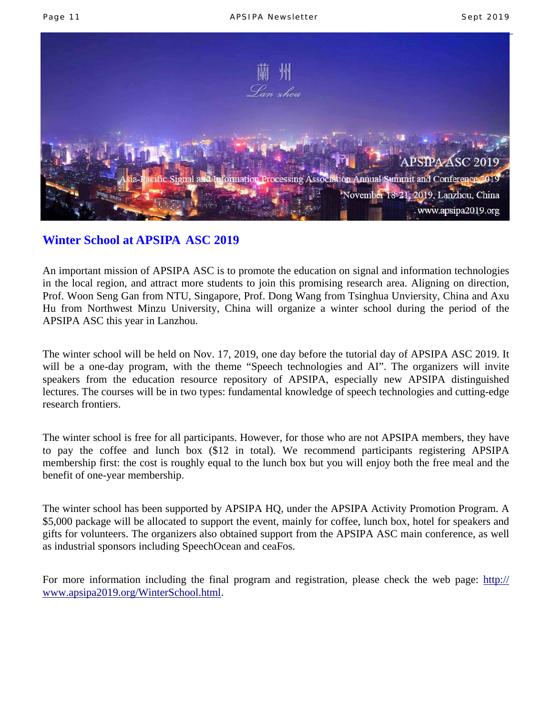

# **Winter School at APSIPA ASC 2019**

An important mission of APSIPA ASC is to promote the education on signal and information technologies in the local region, and attract more students to join this promising research area. Aligning on direction, Prof. Woon Seng Gan from NTU, Singapore, Prof. Dong Wang from Tsinghua Unviersity, China and Axu Hu from Northwest Minzu University, China will organize a winter school during the period of the APSIPA ASC this year in Lanzhou.

The winter school will be held on Nov. 17, 2019, one day before the tutorial day of APSIPA ASC 2019. It will be a one-day program, with the theme "Speech technologies and AI". The organizers will invite speakers from the education resource repository of APSIPA, especially new APSIPA distinguished lectures. The courses will be in two types: fundamental knowledge of speech technologies and cutting-edge research frontiers.

The winter school is free for all participants. However, for those who are not APSIPA members, they have to pay the coffee and lunch box (\$12 in total). We recommend participants registering APSIPA membership first: the cost is roughly equal to the lunch box but you will enjoy both the free meal and the benefit of one-year membership.

The winter school has been supported by APSIPA HQ, under the APSIPA Activity Promotion Program. A \$5,000 package will be allocated to support the event, mainly for coffee, lunch box, hotel for speakers and gifts for volunteers. The organizers also obtained support from the APSIPA ASC main conference, as well as industrial sponsors including SpeechOcean and ceaFos.

For more information including the final program and registration, please check the web page: http:// www.apsipa2019.org/WinterSchool.html.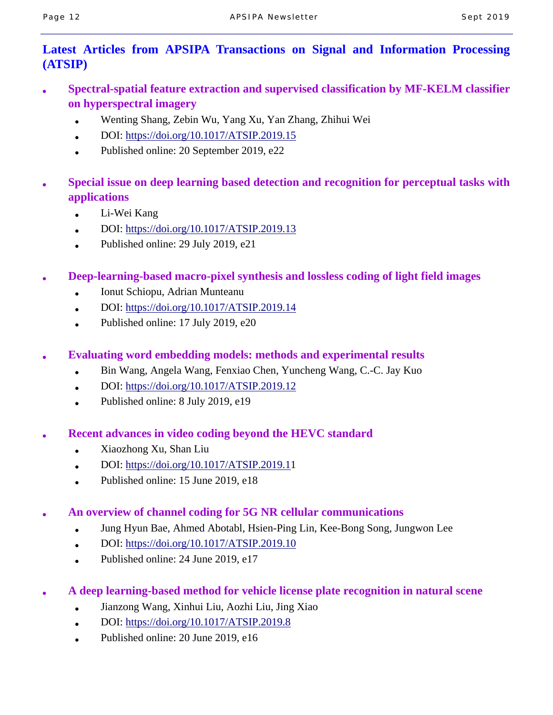# **Latest Articles from APSIPA Transactions on Signal and Information Processing (ATSIP)**

- **Spectral-spatial feature extraction and supervised classification by MF-KELM classifier on hyperspectral imagery** 
	- Wenting Shang, Zebin Wu, Yang Xu, Yan Zhang, Zhihui Wei
	- DOI: https://doi.org/10.1017/ATSIP.2019.15
	- Published online:  $20$  September 2019, e22
- **Special issue on deep learning based detection and recognition for perceptual tasks with applications** 
	- Li-Wei Kang
	- DOI: https://doi.org/10.1017/ATSIP.2019.13
	- Published online:  $29$  July  $2019$ ,  $e21$
- **Deep-learning-based macro-pixel synthesis and lossless coding of light field images** 
	- Ionut Schiopu, Adrian Munteanu
	- DOI: https://doi.org/10.1017/ATSIP.2019.14
	- Published online:  $17$  July  $2019$ ,  $e20$
- **Evaluating word embedding models: methods and experimental results** 
	- Bin Wang, Angela Wang, Fenxiao Chen, Yuncheng Wang, C.-C. Jay Kuo
	- $\bullet$  DOI: https://doi.org/10.1017/ATSIP.2019.12
	- Published online: 8 July 2019, e19
- **Recent advances in video coding beyond the HEVC standard** 
	- Xiaozhong Xu, Shan Liu
	- $\bullet$  DOI: https://doi.org/10.1017/ATSIP.2019.11
	- Published online:  $15$  June 2019, e18
- **An overview of channel coding for 5G NR cellular communications** 
	- Jung Hyun Bae, Ahmed Abotabl, Hsien-Ping Lin, Kee-Bong Song, Jungwon Lee
	- DOI: https://doi.org/10.1017/ATSIP.2019.10
	- Published online:  $24$  June 2019, e17
- **A deep learning-based method for vehicle license plate recognition in natural scene** 
	- Jianzong Wang, Xinhui Liu, Aozhi Liu, Jing Xiao
	- DOI: https://doi.org/10.1017/ATSIP.2019.8
	- Published online: 20 June 2019, e16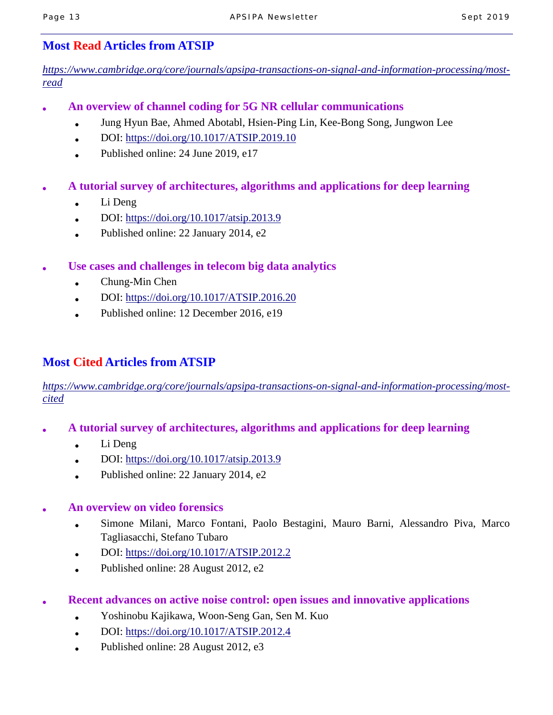## **Most Read Articles from ATSIP**

*https://www.cambridge.org/core/journals/apsipa-transactions-on-signal-and-information-processing/mostread*

- **An overview of channel coding for 5G NR cellular communications** 
	- Jung Hyun Bae, Ahmed Abotabl, Hsien-Ping Lin, Kee-Bong Song, Jungwon Lee
	- $\bullet$  DOI: https://doi.org/10.1017/ATSIP.2019.10
	- Published online: 24 June 2019, e17
- **A tutorial survey of architectures, algorithms and applications for deep learning** 
	- Li Deng
	- DOI: https://doi.org/10.1017/atsip.2013.9
	- Published online: 22 January 2014, e2
- Use cases and challenges in telecom big data analytics
	- $\bullet$  Chung-Min Chen
	- $\bullet$  DOI: https://doi.org/10.1017/ATSIP.2016.20
	- Published online: 12 December 2016, e19

# **Most Cited Articles from ATSIP**

*https://www.cambridge.org/core/journals/apsipa-transactions-on-signal-and-information-processing/mostcited*

- **A tutorial survey of architectures, algorithms and applications for deep learning** 
	- $\bullet$  Li Deng
	- DOI: https://doi.org/10.1017/atsip.2013.9
	- Published online:  $22$  January  $2014$ , e2

### ● **An overview on video forensics**

- Simone Milani, Marco Fontani, Paolo Bestagini, Mauro Barni, Alessandro Piva, Marco Tagliasacchi, Stefano Tubaro
- DOI: https://doi.org/10.1017/ATSIP.2012.2
- Published online:  $28$  August  $2012$ , e2
- **Recent advances on active noise control: open issues and innovative applications** 
	- Yoshinobu Kajikawa, Woon-Seng Gan, Sen M. Kuo
	- DOI: https://doi.org/10.1017/ATSIP.2012.4
	- Published online: 28 August 2012, e3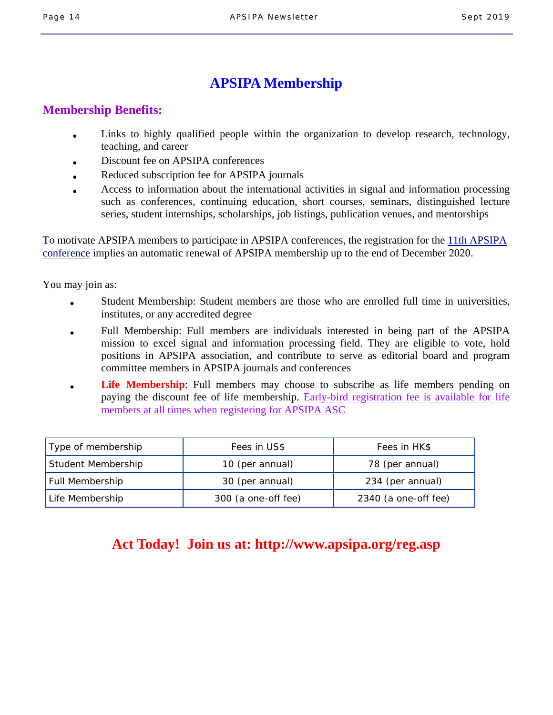# **APSIPA Membership**

### **Membership Benefits:**

- Links to highly qualified people within the organization to develop research, technology, teaching, and career
- Discount fee on APSIPA conferences
- Reduced subscription fee for APSIPA journals
- Access to information about the international activities in signal and information processing such as conferences, continuing education, short courses, seminars, distinguished lecture series, student internships, scholarships, job listings, publication venues, and mentorships

To motivate APSIPA members to participate in APSIPA conferences, the registration for the 11th APSIPA conference implies an automatic renewal of APSIPA membership up to the end of December 2020.

You may join as:

- Student Membership: Student members are those who are enrolled full time in universities, institutes, or any accredited degree
- Full Membership: Full members are individuals interested in being part of the APSIPA mission to excel signal and information processing field. They are eligible to vote, hold positions in APSIPA association, and contribute to serve as editorial board and program committee members in APSIPA journals and conferences
- **Life Membership**: Full members may choose to subscribe as life members pending on paying the discount fee of life membership. Early-bird registration fee is available for life members at all times when registering for APSIPA ASC

| Type of membership     | Fees in US\$        | Fees in HK\$         |
|------------------------|---------------------|----------------------|
| Student Membership     | 10 (per annual)     | 78 (per annual)      |
| <b>Full Membership</b> | 30 (per annual)     | 234 (per annual)     |
| Life Membership        | 300 (a one-off fee) | 2340 (a one-off fee) |

# **Act Today! Join us at: http://www.apsipa.org/reg.asp**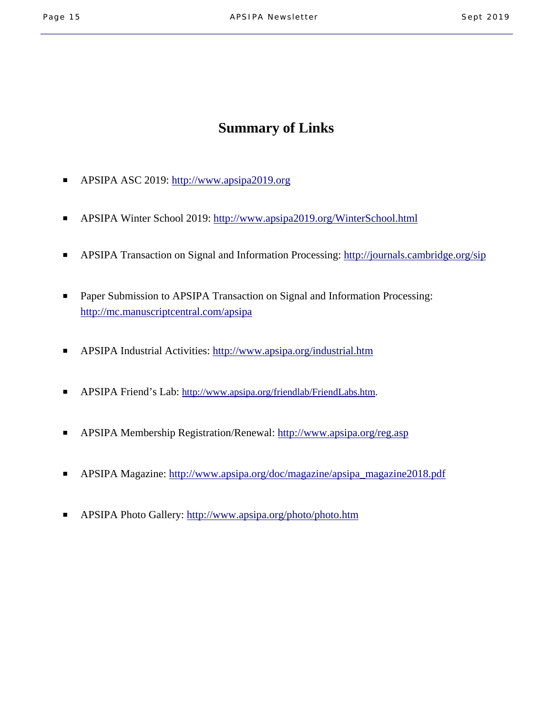# **Summary of Links**

- APSIPA ASC 2019: http://www.apsipa2019.org
- APSIPA Winter School 2019: http://www.apsipa2019.org/WinterSchool.html
- APSIPA Transaction on Signal and Information Processing: http://journals.cambridge.org/sip
- Paper Submission to APSIPA Transaction on Signal and Information Processing: http://mc.manuscriptcentral.com/apsipa
- APSIPA Industrial Activities: http://www.apsipa.org/industrial.htm
- APSIPA Friend's Lab: http://www.apsipa.org/friendlab/FriendLabs.htm.
- APSIPA Membership Registration/Renewal: http://www.apsipa.org/reg.asp
- APSIPA Magazine: http://www.apsipa.org/doc/magazine/apsipa\_magazine2018.pdf
- APSIPA Photo Gallery: http://www.apsipa.org/photo/photo.htm